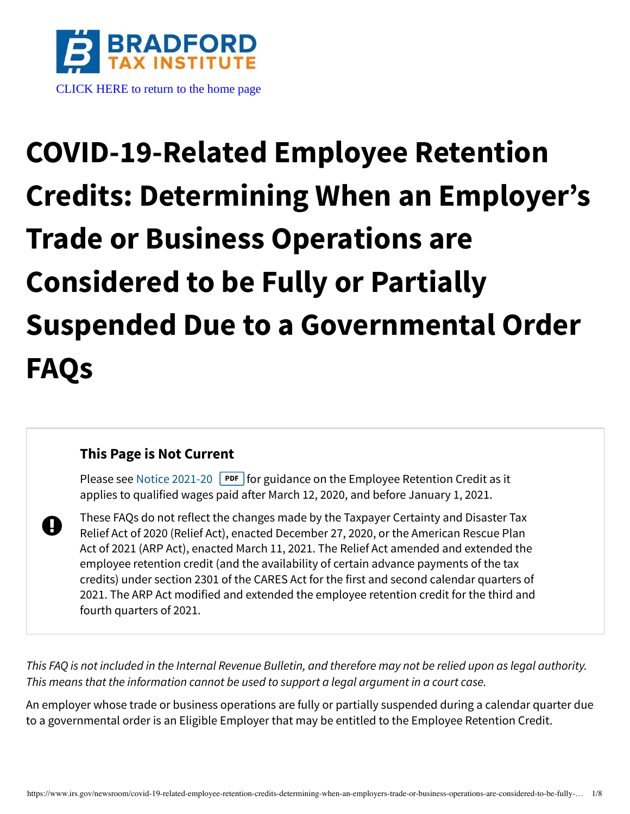

# **COVID-19-Related Employee Retention Credits: Determining When an Employer's Trade or Business Operations are Considered to be Fully or Partially Suspended Due to a Governmental Order FAQs**

#### **This Page is Not Current**

A

Please see [Notice 2021-20](https://www.irs.gov/pub/irs-drop/n-21-20.pdf) **PDF** for guidance on the Employee Retention Credit as it applies to qualified wages paid after March 12, 2020, and before January 1, 2021.

These FAQs do not reflect the changes made by the Taxpayer Certainty and Disaster Tax Relief Act of 2020 (Relief Act), enacted December 27, 2020, or the American Rescue Plan Act of 2021 (ARP Act), enacted March 11, 2021. The Relief Act amended and extended the employee retention credit (and the availability of certain advance payments of the tax credits) under section 2301 of the CARES Act for the first and second calendar quarters of 2021. The ARP Act modified and extended the employee retention credit for the third and fourth quarters of 2021.

This FAQ is not included in the Internal Revenue Bulletin, and therefore may not be relied upon as legal authority. This means that the information cannot be used to support a legal argument in a court case.

An employer whose trade or business operations are fully or partially suspended during a calendar quarter due to a governmental order is an Eligible Employer that may be entitled to the Employee Retention Credit.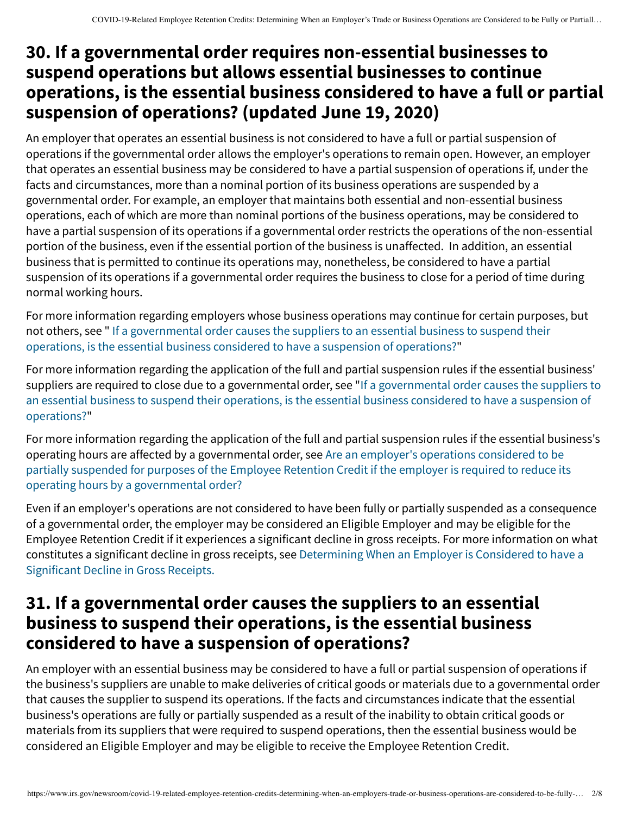### **30. If a governmental order requires non-essential businesses to suspend operations but allows essential businesses to continue operations, is the essential business considered to have a full or partial suspension of operations? (updated June 19, 2020)**

An employer that operates an essential business is not considered to have a full or partial suspension of operations if the governmental order allows the employer's operations to remain open. However, an employer that operates an essential business may be considered to have a partial suspension of operations if, under the facts and circumstances, more than a nominal portion of its business operations are suspended by a governmental order. For example, an employer that maintains both essential and non-essential business operations, each of which are more than nominal portions of the business operations, may be considered to have a partial suspension of its operations if a governmental order restricts the operations of the non-essential portion of the business, even if the essential portion of the business is unaffected. In addition, an essential business that is permitted to continue its operations may, nonetheless, be considered to have a partial suspension of its operations if a governmental order requires the business to close for a period of time during normal working hours.

For more information regarding employers whose business operations may continue for certain purposes, but [not others, see " If a governmental order causes the suppliers to an essential business to suspend their](#page-1-0) operations, is the essential business considered to have a suspension of operations?"

For more information regarding the application of the full and partial suspension rules if the essential business' [suppliers are required to close due to a governmental order, see "If a governmental order causes the suppliers to](#page-1-0) an essential business to suspend their operations, is the essential business considered to have a suspension of operations?"

For more information regarding the application of the full and partial suspension rules if the essential business's operating hours are affected by a governmental order, see Are an employer's operations considered to be [partially suspended for purposes of the Employee Retention Credit if the employer is required to reduce its](#page-5-0) operating hours by a governmental order?

Even if an employer's operations are not considered to have been fully or partially suspended as a consequence of a governmental order, the employer may be considered an Eligible Employer and may be eligible for the Employee Retention Credit if it experiences a significant decline in gross receipts. For more information on what [constitutes a significant decline in gross receipts, see Determining When an Employer is Considered to have a](https://www.irs.gov/newsroom/covid-19-related-employee-retention-credits-determining-when-an-employer-is-considered-to-have-a-significant-decline-in-gross-receipts-and-maximum-amount-of-an-eligible-employers-employee-retention#determining-when-employer-considered-have-significant-decline-in-gross-receipts) Significant Decline in Gross Receipts.

### <span id="page-1-0"></span>**31. If a governmental order causes the suppliers to an essential business to suspend their operations, is the essential business considered to have a suspension of operations?**

An employer with an essential business may be considered to have a full or partial suspension of operations if the business's suppliers are unable to make deliveries of critical goods or materials due to a governmental order that causes the supplier to suspend its operations. If the facts and circumstances indicate that the essential business's operations are fully or partially suspended as a result of the inability to obtain critical goods or materials from its suppliers that were required to suspend operations, then the essential business would be considered an Eligible Employer and may be eligible to receive the Employee Retention Credit.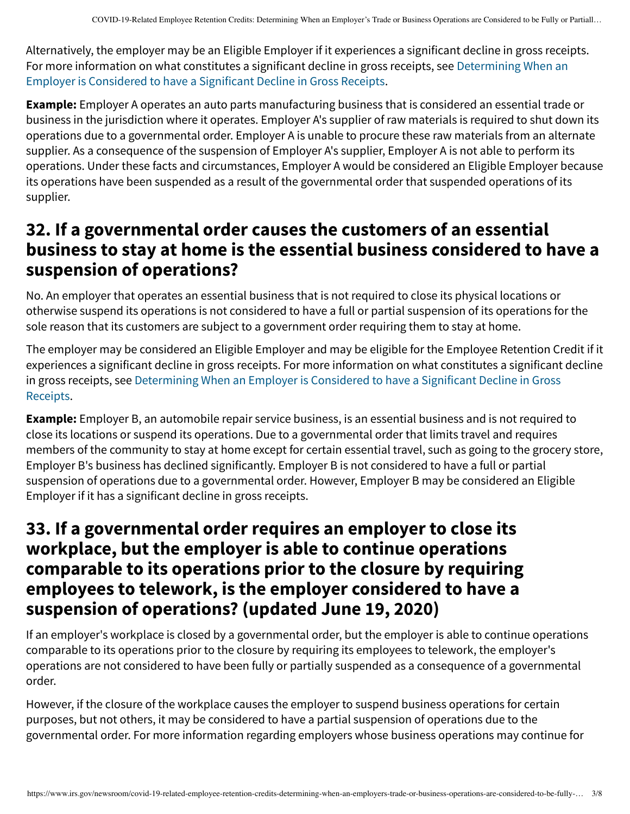Alternatively, the employer may be an Eligible Employer if it experiences a significant decline in gross receipts. [For more information on what constitutes a significant decline in gross receipts, see Determining When an](https://www.irs.gov/newsroom/covid-19-related-employee-retention-credits-determining-when-an-employer-is-considered-to-have-a-significant-decline-in-gross-receipts-and-maximum-amount-of-an-eligible-employers-employee-retention#determining-when-employer-considered-have-significant-decline-in-gross-receipts) Employer is Considered to have a Significant Decline in Gross Receipts.

**Example:** Employer A operates an auto parts manufacturing business that is considered an essential trade or business in the jurisdiction where it operates. Employer A's supplier of raw materials is required to shut down its operations due to a governmental order. Employer A is unable to procure these raw materials from an alternate supplier. As a consequence of the suspension of Employer A's supplier, Employer A is not able to perform its operations. Under these facts and circumstances, Employer A would be considered an Eligible Employer because its operations have been suspended as a result of the governmental order that suspended operations of its supplier.

### **32. If a governmental order causes the customers of an essential business to stay at home is the essential business considered to have a suspension of operations?**

No. An employer that operates an essential business that is not required to close its physical locations or otherwise suspend its operations is not considered to have a full or partial suspension of its operations for the sole reason that its customers are subject to a government order requiring them to stay at home.

The employer may be considered an Eligible Employer and may be eligible for the Employee Retention Credit if it experiences a significant decline in gross receipts. For more information on what constitutes a significant decline [in gross receipts, see Determining When an Employer is Considered to have a Significant Decline in Gross](https://www.irs.gov/newsroom/covid-19-related-employee-retention-credits-determining-when-an-employer-is-considered-to-have-a-significant-decline-in-gross-receipts-and-maximum-amount-of-an-eligible-employers-employee-retention#determining-when-employer-considered-have-significant-decline-in-gross-receipts) Receipts.

**Example:** Employer B, an automobile repair service business, is an essential business and is not required to close its locations or suspend its operations. Due to a governmental order that limits travel and requires members of the community to stay at home except for certain essential travel, such as going to the grocery store, Employer B's business has declined significantly. Employer B is not considered to have a full or partial suspension of operations due to a governmental order. However, Employer B may be considered an Eligible Employer if it has a significant decline in gross receipts.

#### **33. If a governmental order requires an employer to close its workplace, but the employer is able to continue operations comparable to its operations prior to the closure by requiring employees to telework, is the employer considered to have a suspension of operations? (updated June 19, 2020)**

If an employer's workplace is closed by a governmental order, but the employer is able to continue operations comparable to its operations prior to the closure by requiring its employees to telework, the employer's operations are not considered to have been fully or partially suspended as a consequence of a governmental order.

However, if the closure of the workplace causes the employer to suspend business operations for certain purposes, but not others, it may be considered to have a partial suspension of operations due to the governmental order. For more information regarding employers whose business operations may continue for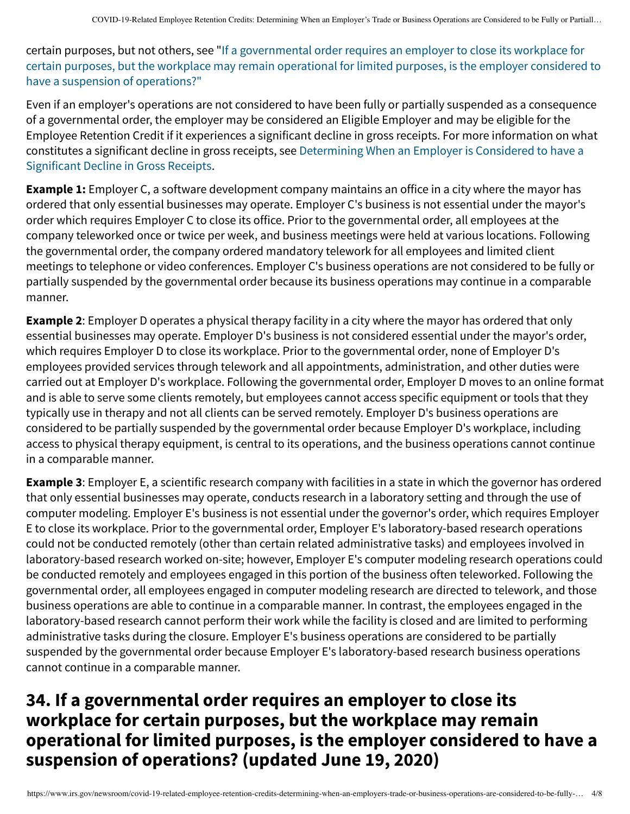certain purposes, but not others, see "If a governmental order requires an employer to close its workplace for [certain purposes, but the workplace may remain operational for limited purposes, is the employer considered to](#page-1-0) have a suspension of operations?"

Even if an employer's operations are not considered to have been fully or partially suspended as a consequence of a governmental order, the employer may be considered an Eligible Employer and may be eligible for the Employee Retention Credit if it experiences a significant decline in gross receipts. For more information on what [constitutes a significant decline in gross receipts, see Determining When an Employer is Considered to have a](https://www.irs.gov/newsroom/covid-19-related-employee-retention-credits-determining-when-an-employer-is-considered-to-have-a-significant-decline-in-gross-receipts-and-maximum-amount-of-an-eligible-employers-employee-retention#determining-when-employer-considered-have-significant-decline-in-gross-receipts) Significant Decline in Gross Receipts.

**Example 1:** Employer C, a software development company maintains an office in a city where the mayor has ordered that only essential businesses may operate. Employer C's business is not essential under the mayor's order which requires Employer C to close its office. Prior to the governmental order, all employees at the company teleworked once or twice per week, and business meetings were held at various locations. Following the governmental order, the company ordered mandatory telework for all employees and limited client meetings to telephone or video conferences. Employer C's business operations are not considered to be fully or partially suspended by the governmental order because its business operations may continue in a comparable manner.

**Example 2**: Employer D operates a physical therapy facility in a city where the mayor has ordered that only essential businesses may operate. Employer D's business is not considered essential under the mayor's order, which requires Employer D to close its workplace. Prior to the governmental order, none of Employer D's employees provided services through telework and all appointments, administration, and other duties were carried out at Employer D's workplace. Following the governmental order, Employer D moves to an online format and is able to serve some clients remotely, but employees cannot access specific equipment or tools that they typically use in therapy and not all clients can be served remotely. Employer D's business operations are considered to be partially suspended by the governmental order because Employer D's workplace, including access to physical therapy equipment, is central to its operations, and the business operations cannot continue in a comparable manner.

**Example 3**: Employer E, a scientific research company with facilities in a state in which the governor has ordered that only essential businesses may operate, conducts research in a laboratory setting and through the use of computer modeling. Employer E's business is not essential under the governor's order, which requires Employer E to close its workplace. Prior to the governmental order, Employer E's laboratory-based research operations could not be conducted remotely (other than certain related administrative tasks) and employees involved in laboratory-based research worked on-site; however, Employer E's computer modeling research operations could be conducted remotely and employees engaged in this portion of the business often teleworked. Following the governmental order, all employees engaged in computer modeling research are directed to telework, and those business operations are able to continue in a comparable manner. In contrast, the employees engaged in the laboratory-based research cannot perform their work while the facility is closed and are limited to performing administrative tasks during the closure. Employer E's business operations are considered to be partially suspended by the governmental order because Employer E's laboratory-based research business operations cannot continue in a comparable manner.

## **34. If a governmental order requires an employer to close its workplace for certain purposes, but the workplace may remain operational for limited purposes, is the employer considered to have a suspension of operations? (updated June 19, 2020)**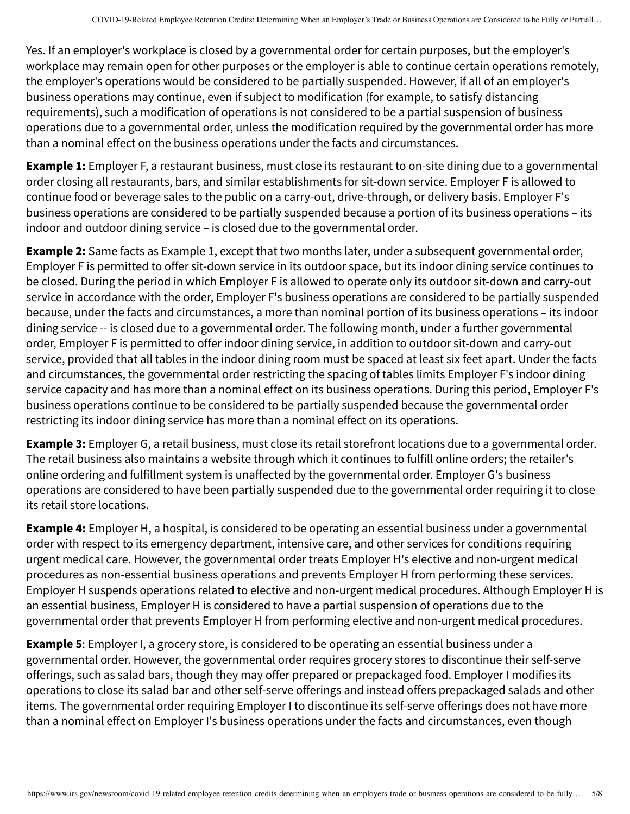Yes. If an employer's workplace is closed by a governmental order for certain purposes, but the employer's workplace may remain open for other purposes or the employer is able to continue certain operations remotely, the employer's operations would be considered to be partially suspended. However, if all of an employer's business operations may continue, even if subject to modification (for example, to satisfy distancing requirements), such a modification of operations is not considered to be a partial suspension of business operations due to a governmental order, unless the modification required by the governmental order has more than a nominal effect on the business operations under the facts and circumstances.

**Example 1:** Employer F, a restaurant business, must close its restaurant to on-site dining due to a governmental order closing all restaurants, bars, and similar establishments for sit-down service. Employer F is allowed to continue food or beverage sales to the public on a carry-out, drive-through, or delivery basis. Employer F's business operations are considered to be partially suspended because a portion of its business operations – its indoor and outdoor dining service – is closed due to the governmental order.

**Example 2:** Same facts as Example 1, except that two months later, under a subsequent governmental order, Employer F is permitted to offer sit-down service in its outdoor space, but its indoor dining service continues to be closed. During the period in which Employer F is allowed to operate only its outdoor sit-down and carry-out service in accordance with the order, Employer F's business operations are considered to be partially suspended because, under the facts and circumstances, a more than nominal portion of its business operations – its indoor dining service -- is closed due to a governmental order. The following month, under a further governmental order, Employer F is permitted to offer indoor dining service, in addition to outdoor sit-down and carry-out service, provided that all tables in the indoor dining room must be spaced at least six feet apart. Under the facts and circumstances, the governmental order restricting the spacing of tables limits Employer F's indoor dining service capacity and has more than a nominal effect on its business operations. During this period, Employer F's business operations continue to be considered to be partially suspended because the governmental order restricting its indoor dining service has more than a nominal effect on its operations.

**Example 3:** Employer G, a retail business, must close its retail storefront locations due to a governmental order. The retail business also maintains a website through which it continues to fulfill online orders; the retailer's online ordering and fulfillment system is unaffected by the governmental order. Employer G's business operations are considered to have been partially suspended due to the governmental order requiring it to close its retail store locations.

**Example 4:** Employer H, a hospital, is considered to be operating an essential business under a governmental order with respect to its emergency department, intensive care, and other services for conditions requiring urgent medical care. However, the governmental order treats Employer H's elective and non-urgent medical procedures as non-essential business operations and prevents Employer H from performing these services. Employer H suspends operations related to elective and non-urgent medical procedures. Although Employer H is an essential business, Employer H is considered to have a partial suspension of operations due to the governmental order that prevents Employer H from performing elective and non-urgent medical procedures.

**Example 5**: Employer I, a grocery store, is considered to be operating an essential business under a governmental order. However, the governmental order requires grocery stores to discontinue their self-serve offerings, such as salad bars, though they may offer prepared or prepackaged food. Employer I modifies its operations to close its salad bar and other self-serve offerings and instead offers prepackaged salads and other items. The governmental order requiring Employer I to discontinue its self-serve offerings does not have more than a nominal effect on Employer I's business operations under the facts and circumstances, even though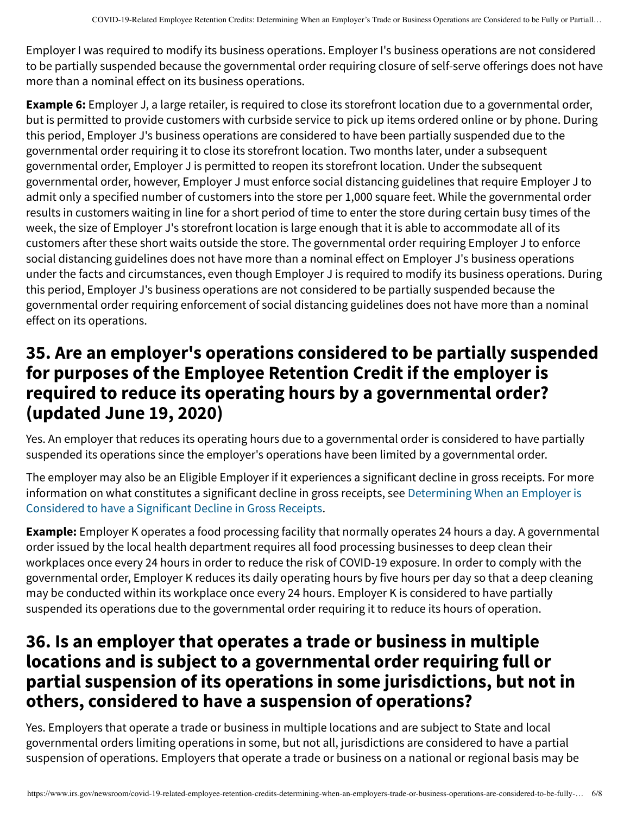Employer I was required to modify its business operations. Employer I's business operations are not considered to be partially suspended because the governmental order requiring closure of self-serve offerings does not have more than a nominal effect on its business operations.

**Example 6:** Employer J, a large retailer, is required to close its storefront location due to a governmental order, but is permitted to provide customers with curbside service to pick up items ordered online or by phone. During this period, Employer J's business operations are considered to have been partially suspended due to the governmental order requiring it to close its storefront location. Two months later, under a subsequent governmental order, Employer J is permitted to reopen its storefront location. Under the subsequent governmental order, however, Employer J must enforce social distancing guidelines that require Employer J to admit only a specified number of customers into the store per 1,000 square feet. While the governmental order results in customers waiting in line for a short period of time to enter the store during certain busy times of the week, the size of Employer J's storefront location is large enough that it is able to accommodate all of its customers after these short waits outside the store. The governmental order requiring Employer J to enforce social distancing guidelines does not have more than a nominal effect on Employer J's business operations under the facts and circumstances, even though Employer J is required to modify its business operations. During this period, Employer J's business operations are not considered to be partially suspended because the governmental order requiring enforcement of social distancing guidelines does not have more than a nominal effect on its operations.

### <span id="page-5-0"></span>**35. Are an employer's operations considered to be partially suspended for purposes of the Employee Retention Credit if the employer is required to reduce its operating hours by a governmental order? (updated June 19, 2020)**

Yes. An employer that reduces its operating hours due to a governmental order is considered to have partially suspended its operations since the employer's operations have been limited by a governmental order.

The employer may also be an Eligible Employer if it experiences a significant decline in gross receipts. For more [information on what constitutes a significant decline in gross receipts, see Determining When an Employer is](https://www.irs.gov/newsroom/covid-19-related-employee-retention-credits-determining-when-an-employer-is-considered-to-have-a-significant-decline-in-gross-receipts-and-maximum-amount-of-an-eligible-employers-employee-retention#determining-when-employer-considered-have-significant-decline-in-gross-receipts) Considered to have a Significant Decline in Gross Receipts.

**Example:** Employer K operates a food processing facility that normally operates 24 hours a day. A governmental order issued by the local health department requires all food processing businesses to deep clean their workplaces once every 24 hours in order to reduce the risk of COVID-19 exposure. In order to comply with the governmental order, Employer K reduces its daily operating hours by five hours per day so that a deep cleaning may be conducted within its workplace once every 24 hours. Employer K is considered to have partially suspended its operations due to the governmental order requiring it to reduce its hours of operation.

#### **36. Is an employer that operates a trade or business in multiple locations and is subject to a governmental order requiring full or partial suspension of its operations in some jurisdictions, but not in others, considered to have a suspension of operations?**

Yes. Employers that operate a trade or business in multiple locations and are subject to State and local governmental orders limiting operations in some, but not all, jurisdictions are considered to have a partial suspension of operations. Employers that operate a trade or business on a national or regional basis may be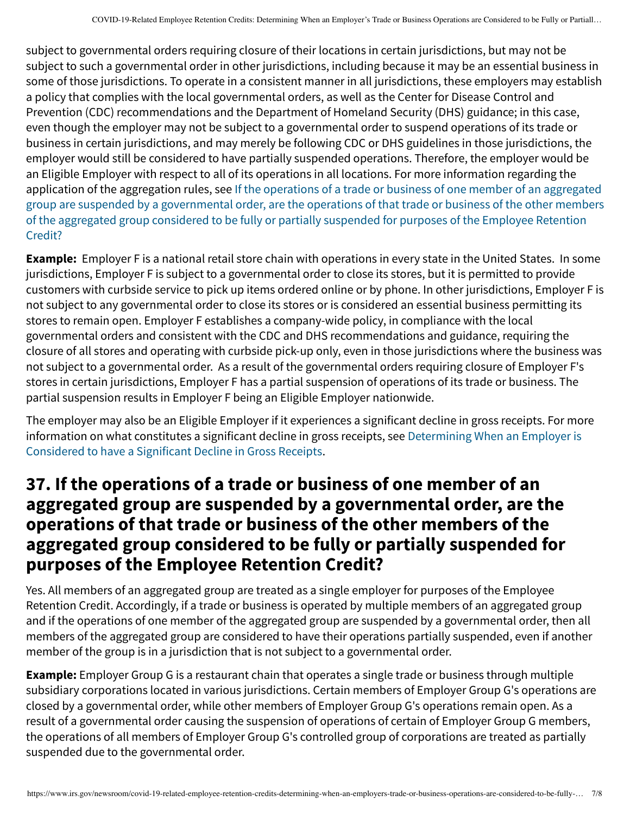subject to governmental orders requiring closure of their locations in certain jurisdictions, but may not be subject to such a governmental order in other jurisdictions, including because it may be an essential business in some of those jurisdictions. To operate in a consistent manner in all jurisdictions, these employers may establish a policy that complies with the local governmental orders, as well as the Center for Disease Control and Prevention (CDC) recommendations and the Department of Homeland Security (DHS) guidance; in this case, even though the employer may not be subject to a governmental order to suspend operations of its trade or business in certain jurisdictions, and may merely be following CDC or DHS guidelines in those jurisdictions, the employer would still be considered to have partially suspended operations. Therefore, the employer would be an Eligible Employer with respect to all of its operations in all locations. For more information regarding the application of the aggregation rules, see If the operations of a trade or business of one member of an aggregated [group are suspended by a governmental order, are the operations of that trade or business of the other members](#page-6-0) of the aggregated group considered to be fully or partially suspended for purposes of the Employee Retention Credit?

**Example:** Employer F is a national retail store chain with operations in every state in the United States. In some jurisdictions, Employer F is subject to a governmental order to close its stores, but it is permitted to provide customers with curbside service to pick up items ordered online or by phone. In other jurisdictions, Employer F is not subject to any governmental order to close its stores or is considered an essential business permitting its stores to remain open. Employer F establishes a company-wide policy, in compliance with the local governmental orders and consistent with the CDC and DHS recommendations and guidance, requiring the closure of all stores and operating with curbside pick-up only, even in those jurisdictions where the business was not subject to a governmental order. As a result of the governmental orders requiring closure of Employer F's stores in certain jurisdictions, Employer F has a partial suspension of operations of its trade or business. The partial suspension results in Employer F being an Eligible Employer nationwide.

The employer may also be an Eligible Employer if it experiences a significant decline in gross receipts. For more [information on what constitutes a significant decline in gross receipts, see Determining When an Employer is](https://www.irs.gov/newsroom/covid-19-related-employee-retention-credits-determining-when-an-employer-is-considered-to-have-a-significant-decline-in-gross-receipts-and-maximum-amount-of-an-eligible-employers-employee-retention#determining-when-employer-considered-have-significant-decline-in-gross-receipts) Considered to have a Significant Decline in Gross Receipts.

#### <span id="page-6-0"></span>**37. If the operations of a trade or business of one member of an aggregated group are suspended by a governmental order, are the operations of that trade or business of the other members of the aggregated group considered to be fully or partially suspended for purposes of the Employee Retention Credit?**

Yes. All members of an aggregated group are treated as a single employer for purposes of the Employee Retention Credit. Accordingly, if a trade or business is operated by multiple members of an aggregated group and if the operations of one member of the aggregated group are suspended by a governmental order, then all members of the aggregated group are considered to have their operations partially suspended, even if another member of the group is in a jurisdiction that is not subject to a governmental order.

**Example:** Employer Group G is a restaurant chain that operates a single trade or business through multiple subsidiary corporations located in various jurisdictions. Certain members of Employer Group G's operations are closed by a governmental order, while other members of Employer Group G's operations remain open. As a result of a governmental order causing the suspension of operations of certain of Employer Group G members, the operations of all members of Employer Group G's controlled group of corporations are treated as partially suspended due to the governmental order.